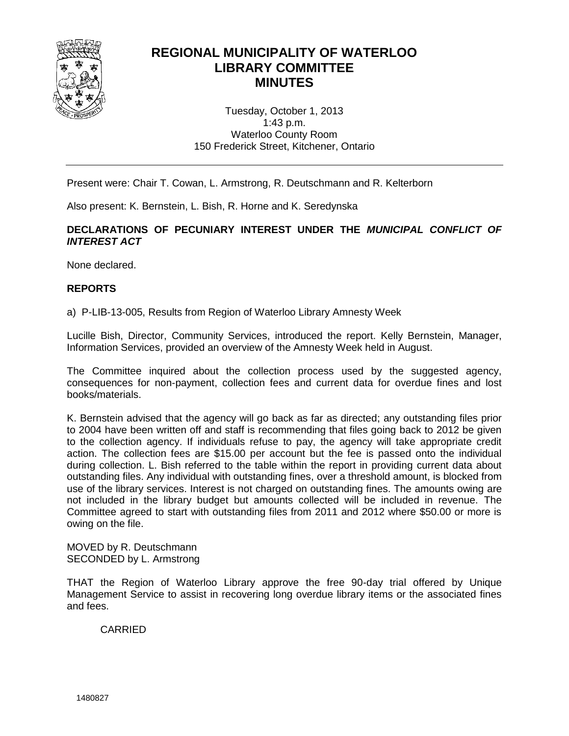

# **REGIONAL MUNICIPALITY OF WATERLOO LIBRARY COMMITTEE MINUTES**

Tuesday, October 1, 2013 1:43 p.m. Waterloo County Room 150 Frederick Street, Kitchener, Ontario

Present were: Chair T. Cowan, L. Armstrong, R. Deutschmann and R. Kelterborn

Also present: K. Bernstein, L. Bish, R. Horne and K. Seredynska

**DECLARATIONS OF PECUNIARY INTEREST UNDER THE** *MUNICIPAL CONFLICT OF INTEREST ACT*

None declared.

#### **REPORTS**

a) P-LIB-13-005, Results from Region of Waterloo Library Amnesty Week

Lucille Bish, Director, Community Services, introduced the report. Kelly Bernstein, Manager, Information Services, provided an overview of the Amnesty Week held in August.

The Committee inquired about the collection process used by the suggested agency, consequences for non-payment, collection fees and current data for overdue fines and lost books/materials.

K. Bernstein advised that the agency will go back as far as directed; any outstanding files prior to 2004 have been written off and staff is recommending that files going back to 2012 be given to the collection agency. If individuals refuse to pay, the agency will take appropriate credit action. The collection fees are \$15.00 per account but the fee is passed onto the individual during collection. L. Bish referred to the table within the report in providing current data about outstanding files. Any individual with outstanding fines, over a threshold amount, is blocked from use of the library services. Interest is not charged on outstanding fines. The amounts owing are not included in the library budget but amounts collected will be included in revenue. The Committee agreed to start with outstanding files from 2011 and 2012 where \$50.00 or more is owing on the file.

MOVED by R. Deutschmann SECONDED by L. Armstrong

THAT the Region of Waterloo Library approve the free 90-day trial offered by Unique Management Service to assist in recovering long overdue library items or the associated fines and fees.

CARRIED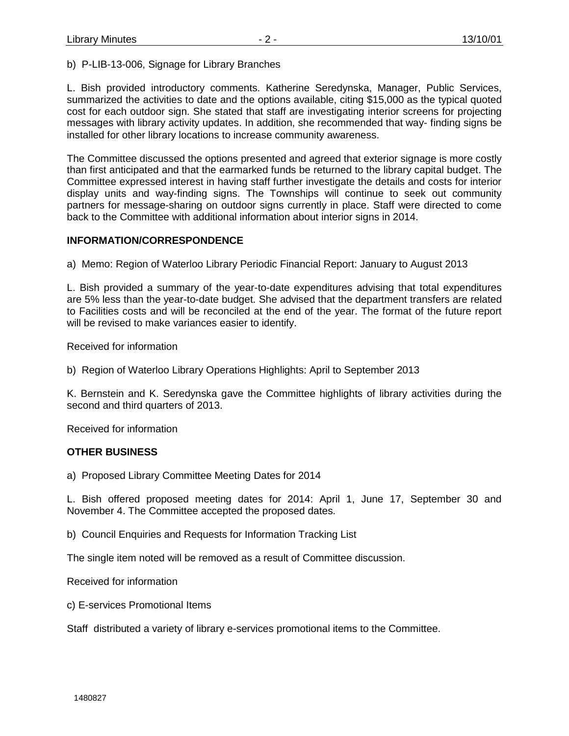b) P-LIB-13-006, Signage for Library Branches

L. Bish provided introductory comments. Katherine Seredynska, Manager, Public Services, summarized the activities to date and the options available, citing \$15,000 as the typical quoted cost for each outdoor sign. She stated that staff are investigating interior screens for projecting messages with library activity updates. In addition, she recommended that way- finding signs be installed for other library locations to increase community awareness.

The Committee discussed the options presented and agreed that exterior signage is more costly than first anticipated and that the earmarked funds be returned to the library capital budget. The Committee expressed interest in having staff further investigate the details and costs for interior display units and way-finding signs. The Townships will continue to seek out community partners for message-sharing on outdoor signs currently in place. Staff were directed to come back to the Committee with additional information about interior signs in 2014.

#### **INFORMATION/CORRESPONDENCE**

a) Memo: Region of Waterloo Library Periodic Financial Report: January to August 2013

L. Bish provided a summary of the year-to-date expenditures advising that total expenditures are 5% less than the year-to-date budget. She advised that the department transfers are related to Facilities costs and will be reconciled at the end of the year. The format of the future report will be revised to make variances easier to identify.

Received for information

b) Region of Waterloo Library Operations Highlights: April to September 2013

K. Bernstein and K. Seredynska gave the Committee highlights of library activities during the second and third quarters of 2013.

Received for information

## **OTHER BUSINESS**

a) Proposed Library Committee Meeting Dates for 2014

L. Bish offered proposed meeting dates for 2014: April 1, June 17, September 30 and November 4. The Committee accepted the proposed dates.

b) Council Enquiries and Requests for Information Tracking List

The single item noted will be removed as a result of Committee discussion.

Received for information

c) E-services Promotional Items

Staff distributed a variety of library e-services promotional items to the Committee.